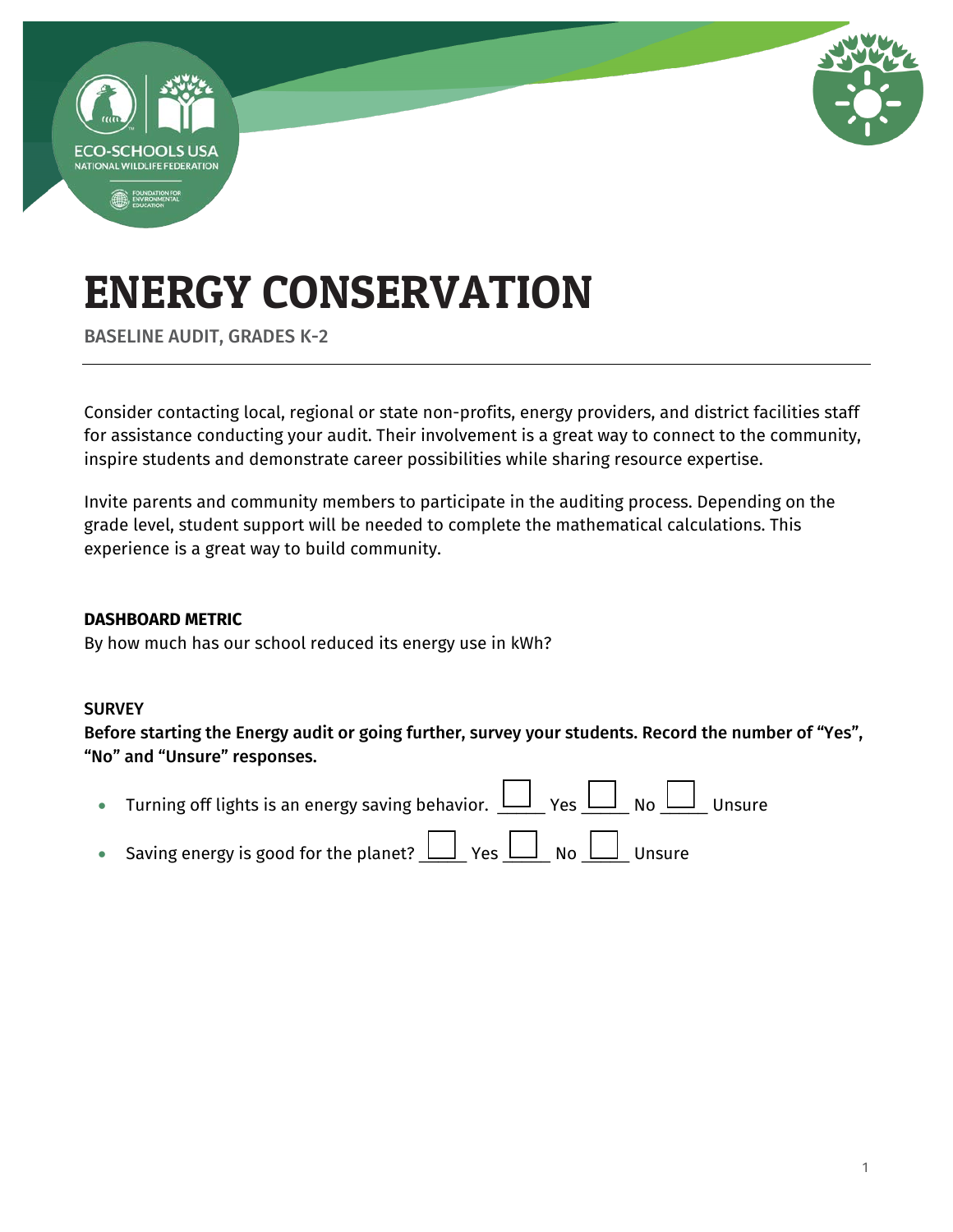

BASELINE AUDIT, GRADES K-2

Consider contacting local, regional or state non-profits, energy providers, and district facilities staff for assistance conducting your audit. Their involvement is a great way to connect to the community, inspire students and demonstrate career possibilities while sharing resource expertise.

Invite parents and community members to participate in the auditing process. Depending on the grade level, student support will be needed to complete the mathematical calculations. This experience is a great way to build community.

#### **DASHBOARD METRIC**

By how much has our school reduced its energy use in kWh?

#### **SURVEY**

Before starting the Energy audit or going further, survey your students. Record the number of "Yes", "No" and "Unsure" responses.

| • Turning off lights is an energy saving behavior. $\bigsqcup_{X \in S} \Box_{X} \Box_{X}$ No $\bigsqcup_{X \in S}$ Unsure |  |
|----------------------------------------------------------------------------------------------------------------------------|--|
| • Saving energy is good for the planet? $\Box$ Yes $\Box$ No $\Box$ Unsure                                                 |  |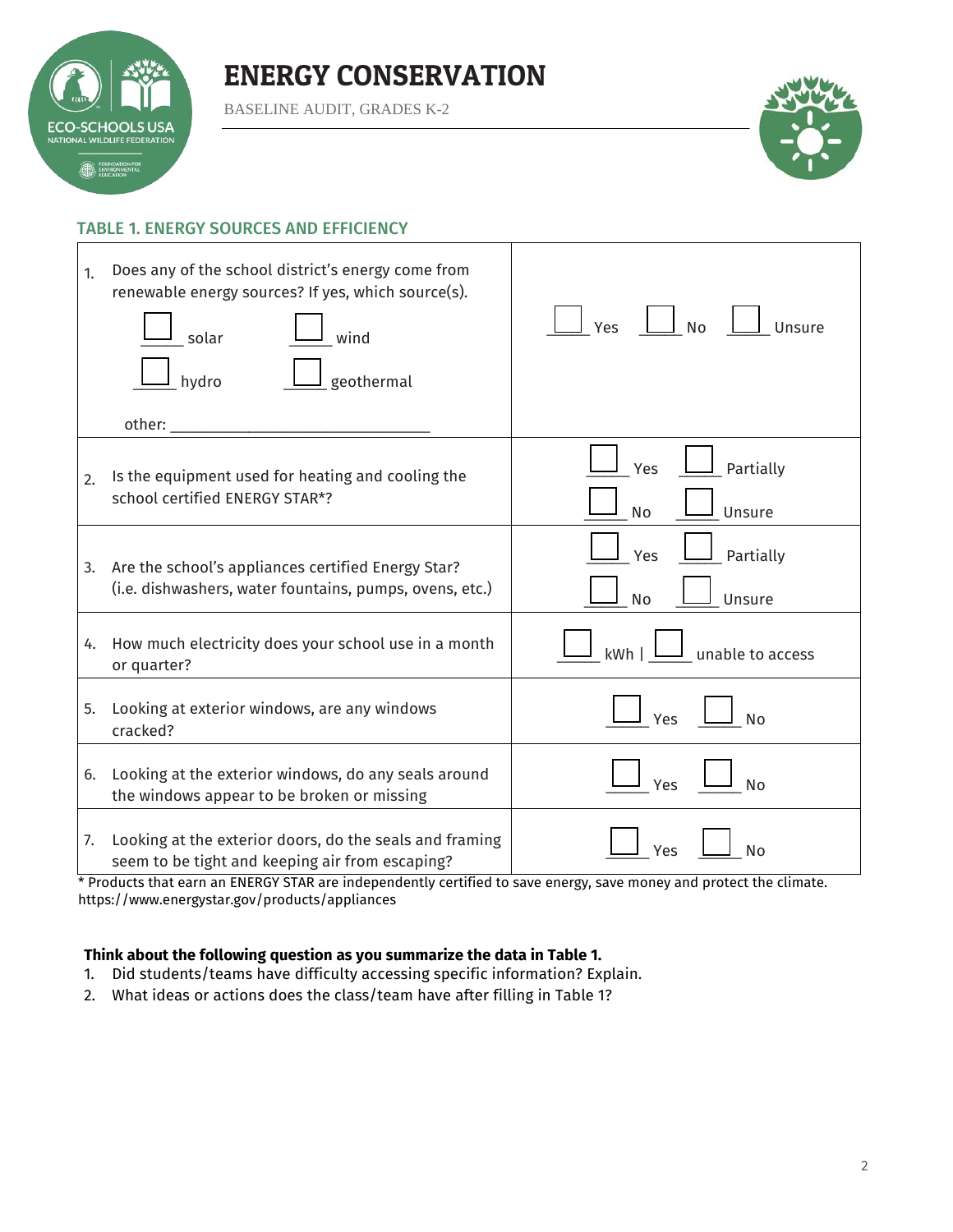

BASELINE AUDIT, GRADES K-2



#### TABLE 1. ENERGY SOURCES AND EFFICIENCY

| 1.               | Does any of the school district's energy come from<br>renewable energy sources? If yes, which source(s).<br>wind<br>solar<br>geothermal<br>hydro | $\Box$ No<br>Unsure<br>Yes                             |
|------------------|--------------------------------------------------------------------------------------------------------------------------------------------------|--------------------------------------------------------|
| $\mathfrak{D}$ . | Is the equipment used for heating and cooling the<br>school certified ENERGY STAR*?                                                              | Partially<br>Yes<br>No<br>Unsure                       |
| 3.               | Are the school's appliances certified Energy Star?<br>(i.e. dishwashers, water fountains, pumps, ovens, etc.)                                    | Partially<br>Yes<br>Unsure<br><b>No</b>                |
| 4.               | How much electricity does your school use in a month<br>or quarter?                                                                              | $\frac{1}{2}$ unable to access<br>$kWh$   $\mathsf{l}$ |
| 5.               | Looking at exterior windows, are any windows<br>cracked?                                                                                         | Yes<br><b>No</b>                                       |
| 6.               | Looking at the exterior windows, do any seals around<br>the windows appear to be broken or missing                                               | Yes<br><b>No</b>                                       |
| 7.               | Looking at the exterior doors, do the seals and framing<br>seem to be tight and keeping air from escaping?                                       | <b>No</b><br>Yes                                       |

\* Products that earn an ENERGY STAR are independently certified to save energy, save money and protect the climate. <https://www.energystar.gov/products/appliances>

#### **Think about the following question as you summarize the data in Table 1.**

- 1. Did students/teams have difficulty accessing specific information? Explain.
- 2. What ideas or actions does the class/team have after filling in Table 1?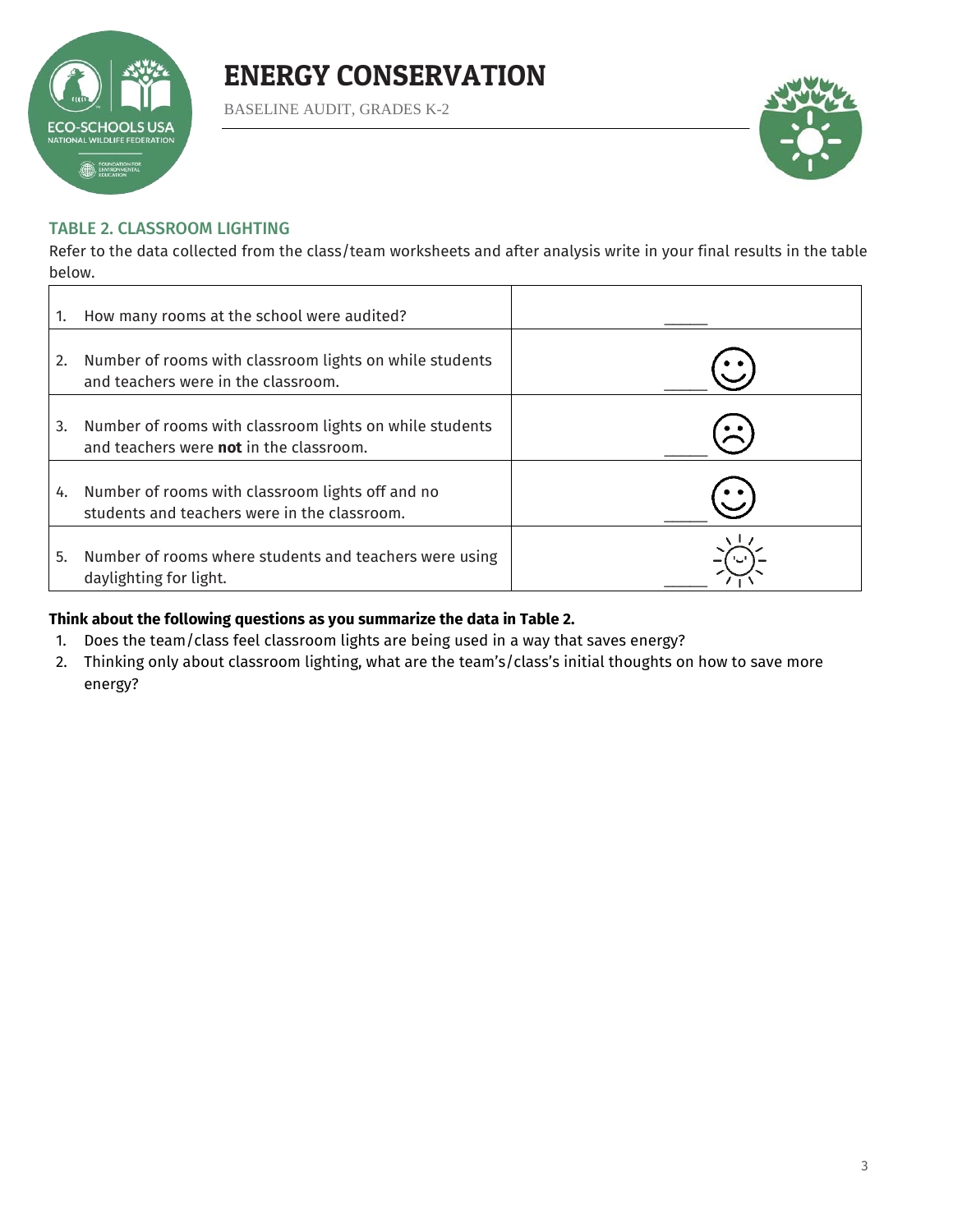

BASELINE AUDIT, GRADES K-2



#### TABLE 2. CLASSROOM LIGHTING

Refer to the data collected from the class/team worksheets and after analysis write in your final results in the table below.

|    | How many rooms at the school were audited?                                                                |  |
|----|-----------------------------------------------------------------------------------------------------------|--|
| 2. | Number of rooms with classroom lights on while students<br>and teachers were in the classroom.            |  |
| 3. | Number of rooms with classroom lights on while students<br>and teachers were <b>not</b> in the classroom. |  |
| 4. | Number of rooms with classroom lights off and no<br>students and teachers were in the classroom.          |  |
| 5. | Number of rooms where students and teachers were using<br>daylighting for light.                          |  |

#### **Think about the following questions as you summarize the data in Table 2.**

- 1. Does the team/class feel classroom lights are being used in a way that saves energy?
- 2. Thinking only about classroom lighting, what are the team's/class's initial thoughts on how to save more energy?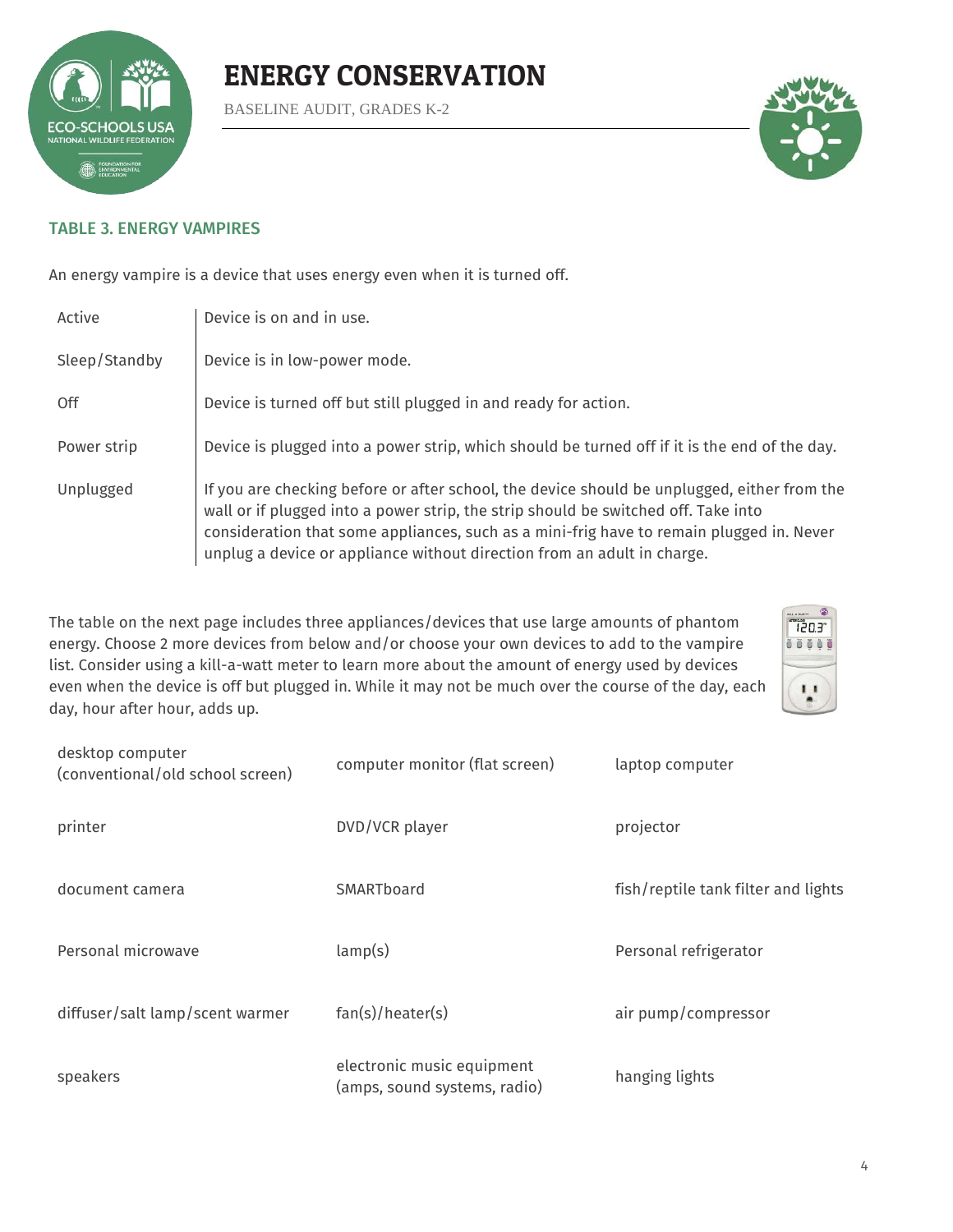

BASELINE AUDIT, GRADES K-2



#### TABLE 3. ENERGY VAMPIRES

An energy vampire is a device that uses energy even when it is turned off.

| Active        | Device is on and in use.                                                                                                                                                                                                                                                                                                                                 |
|---------------|----------------------------------------------------------------------------------------------------------------------------------------------------------------------------------------------------------------------------------------------------------------------------------------------------------------------------------------------------------|
| Sleep/Standby | Device is in low-power mode.                                                                                                                                                                                                                                                                                                                             |
| Off           | Device is turned off but still plugged in and ready for action.                                                                                                                                                                                                                                                                                          |
| Power strip   | Device is plugged into a power strip, which should be turned off if it is the end of the day.                                                                                                                                                                                                                                                            |
| Unplugged     | If you are checking before or after school, the device should be unplugged, either from the<br>wall or if plugged into a power strip, the strip should be switched off. Take into<br>consideration that some appliances, such as a mini-frig have to remain plugged in. Never<br>unplug a device or appliance without direction from an adult in charge. |

The table on the next page includes three appliances/devices that use large amounts of phantom energy. Choose 2 more devices from below and/or choose your own devices to add to the vampire list. Consider using a kill-a-watt meter to learn more about the amount of energy used by devices even when the device is off but plugged in. While it may not be much over the course of the day, each day, hour after hour, adds up.



| desktop computer<br>(conventional/old school screen) | computer monitor (flat screen)                             | laptop computer                     |  |  |
|------------------------------------------------------|------------------------------------------------------------|-------------------------------------|--|--|
| printer                                              | DVD/VCR player                                             | projector                           |  |  |
| document camera                                      | SMARTboard                                                 | fish/reptile tank filter and lights |  |  |
| Personal microwave                                   | lamp(s)                                                    | Personal refrigerator               |  |  |
| diffuser/salt lamp/scent warmer                      | fan(s)/heater(s)                                           | air pump/compressor                 |  |  |
| speakers                                             | electronic music equipment<br>(amps, sound systems, radio) | hanging lights                      |  |  |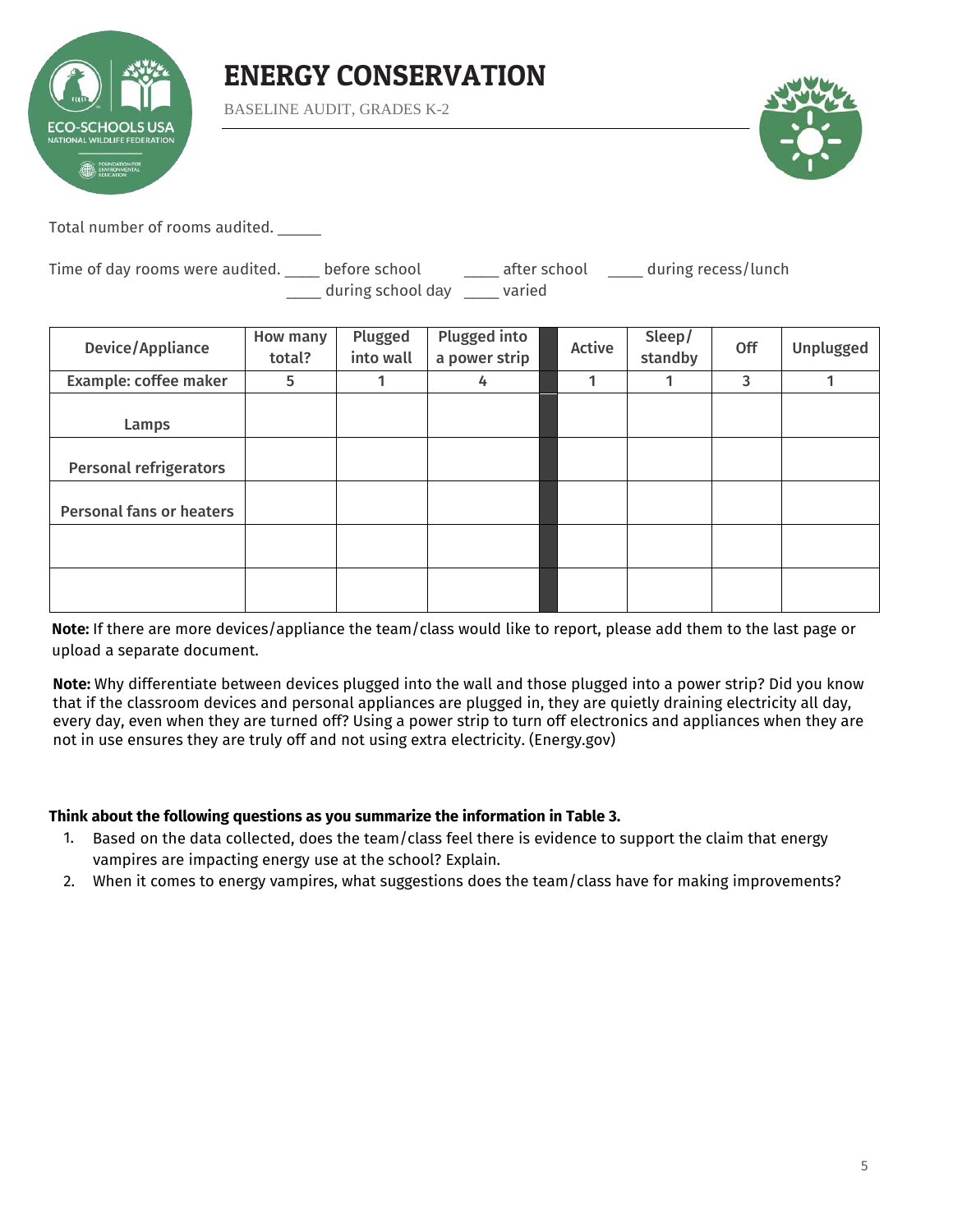

BASELINE AUDIT, GRADES K-2



Total number of rooms audited. \_\_\_\_\_

Time of day rooms were audited. \_\_\_\_ before school \_\_\_\_\_ after school \_\_\_\_ during recess/lunch during school day varied

| Device/Appliance                | How many<br>total? | Plugged<br>into wall | <b>Plugged into</b><br>a power strip | Active | Sleep/<br>standby | Off | Unplugged |
|---------------------------------|--------------------|----------------------|--------------------------------------|--------|-------------------|-----|-----------|
| Example: coffee maker           | 5                  | 1                    | 4                                    | и      | 1                 | 3   | 1         |
| Lamps                           |                    |                      |                                      |        |                   |     |           |
| <b>Personal refrigerators</b>   |                    |                      |                                      |        |                   |     |           |
| <b>Personal fans or heaters</b> |                    |                      |                                      |        |                   |     |           |
|                                 |                    |                      |                                      |        |                   |     |           |
|                                 |                    |                      |                                      |        |                   |     |           |

**Note:** If there are more devices/appliance the team/class would like to report, please add them to the last page or upload a separate document.

**Note:** Why differentiate between devices plugged into the wall and those plugged into a power strip? Did you know that if the classroom devices and personal appliances are plugged in, they are quietly draining electricity all day, every day, even when they are turned off? Using a power strip to turn off electronics and appliances when they are not in use ensures they are truly off and not using extra electricity. (Energy.gov)

#### **Think about the following questions as you summarize the information in Table 3.**

- 1. Based on the data collected, does the team/class feel there is evidence to support the claim that energy vampires are impacting energy use at the school? Explain.
- 2. When it comes to energy vampires, what suggestions does the team/class have for making improvements?